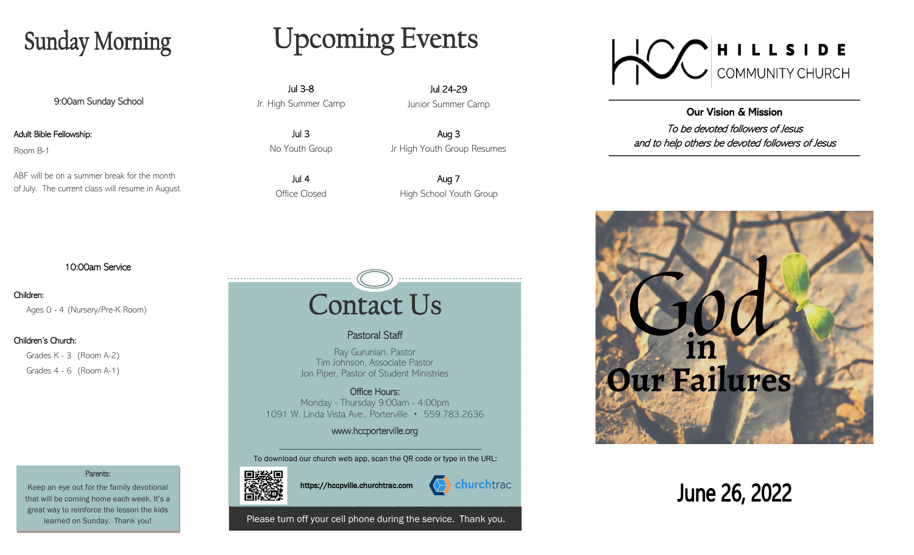## **Sunday Morning**

9:00am Sunday School

Adult Bible Fellowship:

Room B-1

ABF will be on a summer break for the month of July. The current class will resume in August.

# **Upcoming Events**

Jul 3-8 Jr. High Summer Camp

> Jul 3 No Youth Group

Jul 4 Office Closed

Jul 24-29 Junior Summer Camp

Aug 3 Jr High Youth Group Resumes

Aug 7 High School Youth Group

### 10:00am Service

Parents: Keep an eye out for the family devotional that will be coming home each week. It's a great way to reinforce the lesson the kids learned on Sunday. Thank you!

#### Children:

Ages 0 - 4 (Nursery/Pre-K Room)

#### Children's Church:

 Grades K - 3 (Room A-2) Grades 4 - 6 (Room A-1)

# **Contact Us**

### Pastoral Staff

Ray Gurunian, Pastor Tim Johnson, Associate Pastor Jon Piper, Pastor of Student Ministries

Office Hours: Monday - Thursday 9:00am - 4:00pm 1091 W. Linda Vista Ave., Porterville • 559.783.2636

### www.hccporterville.org

To download our church web app, scan the QR code or type in the URL:





Please turn off your cell phone during the service. Thank you.



Our Vision & Mission To be devoted followers of Jesus and to help others be devoted followers of Jesus



June 26, 2022